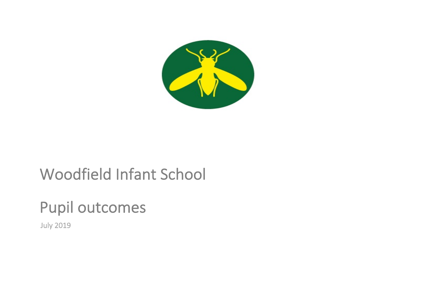

## Woodfield Infant School

# Pupil outcomes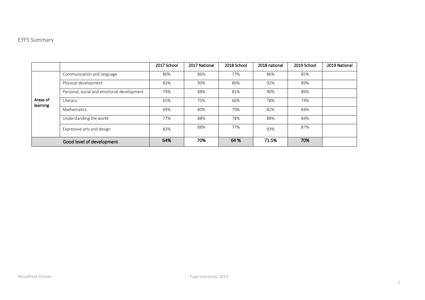### EYFS Summary

|                      |                                            | 2017 School | 2017 National | 2018 School | 2018 national | 2019 School | 2019 National |
|----------------------|--------------------------------------------|-------------|---------------|-------------|---------------|-------------|---------------|
| Areas of<br>learning | Communication and language                 | 80%         | 86%           | 77%         | 86%           | 85%         |               |
|                      | Physical development                       | 82%         | 90%           | 86%         | 92%           | 89%         |               |
|                      | Personal, social and emotional development | 79%         | 88%           | 81%         | 90%           | 86%         |               |
|                      | Literacy                                   | 65%         | 75%           | 66%         | 78%           | 74%         |               |
|                      | <b>Mathematics</b>                         | 69%         | 80%           | 70%         | 82%           | 84%         |               |
|                      | Understanding the world                    | 77%         | 88%           | 78%         | 88%           | 84%         |               |
|                      | Expressive arts and design                 | 83%         | 88%           | 77%         | 93%           | 87%         |               |
|                      | Good level of development                  | 64%         | 70%           | 64 %        | 71.5%         | 70%         |               |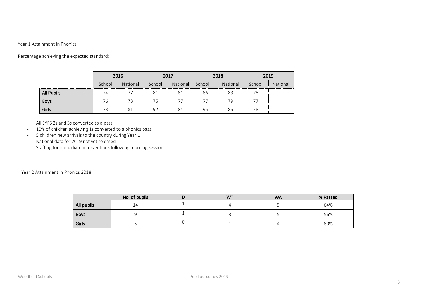#### Year 1 Attainment in Phonics

Percentage achieving the expected standard:

|             | 2016   |          | 2017                            |          | 2018   |          | 2019   |          |
|-------------|--------|----------|---------------------------------|----------|--------|----------|--------|----------|
|             | School | National | School<br>--------------------- | National | School | National | School | National |
| All Pupils  | 74     | 77       | 81                              | 81       | 86     | 83       | 78     |          |
| <b>Boys</b> | 76     | 73       | 75                              | 77       | 77     | 79       | 77     |          |
| Girls       | 73     | 81       | 92                              | 84       | 95     | 86       | 78     |          |

- All EYFS 2s and 3s converted to a pass
- 10% of children achieving 1s converted to a phonics pass.
- 5 children new arrivals to the country during Year 1
- National data for 2019 not yet released
- Staffing for immediate interventions following morning sessions

#### Year 2 Attainment in Phonics 2018

|            | No. of pupils | <b>WT</b> | <b>WA</b> | % Passed |
|------------|---------------|-----------|-----------|----------|
| All pupils | 14            |           |           | 64%      |
| Boys       |               |           |           | 56%      |
| Girls      |               |           |           | 80%      |